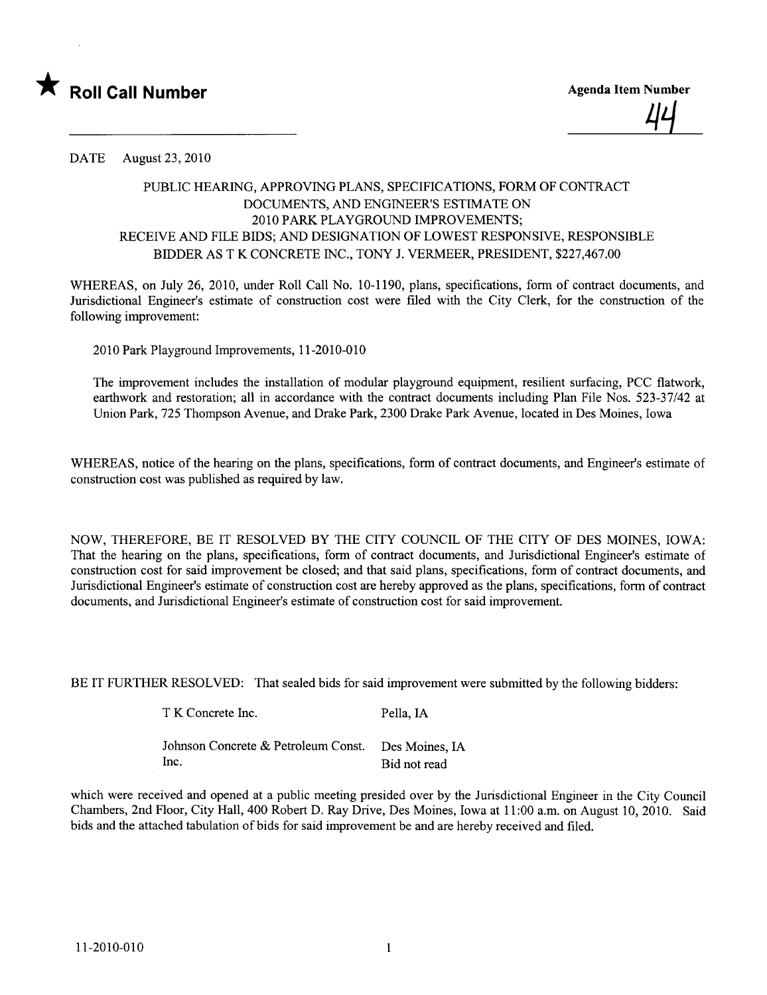

DATE August 23,2010

## PUBLIC HEARING, APPROVING PLANS, SPECIFICATIONS, FORM OF CONTRACT DOCUMENTS, AND ENGINEER'S ESTIMATE ON 2010 PARK PLAYGROUND IMPROVEMENTS; RECEIVE AND FILE BIDS; AND DESIGNATION OF LOWEST RESPONSIVE, RESPONSIBLE BIDDER AS T K CONCRETE INC., TONY J. VERMEER, PRESIDENT, \$227,467.00

WHEREAS, on July 26, 2010, under Roll Call No. 10-1190, plans, specifications, form of contract documents, and Jurisdictional Engineer's estimate of construction cost were filed with the City Clerk, for the construction of the following improvement:

2010 Park Playground Improvements, 11-2010-010

The improvement includes the installation of modular playground equipment, resilient surfacing, PCC flatwork, earthwork and restoration; all in accordance with the contract documents including Plan File Nos. 523-37/42 at Union Park, 725 Thompson Avenue, and Drake Park, 2300 Drake Park Avenue, located in Des Moines, Iowa

WHEREAS, notice of the hearing on the plans, specifications, form of contract documents, and Engineer's estimate of construction cost was published as required by law.

NOW, THEREFORE, BE IT RESOLVED BY THE CITY COUNCIL OF THE CITY OF DES MOINES, IOWA: That the hearng on the plans, specifications, form of contract documents, and Jurisdictional Engineer's estimate of construction cost for said improvement be closed; and that said plans, specifications, form of contract documents, and Jurisdictional Engineer's estimate of construction cost are hereby approved as the plans, specifications, form of contract documents, and Jurisdictional Engineer's estimate of construction cost for said improvement.

BE IT FURTHER RESOLVED: That sealed bids for said improvement were submitted by the following bidders:

| T K Concrete Inc.                                  | Pella, IA    |
|----------------------------------------------------|--------------|
| Johnson Concrete & Petroleum Const. Des Moines, IA |              |
| Inc.                                               | Bid not read |

which were received and opened at a public meeting presided over by the Jurisdictional Engineer in the City Council Chambers, 2nd Floor, City Hall, 400 Robert D. Ray Drive, Des Moines, Iowa at 11 :00 a.m. on August 10,2010. Said bids and the attached tabulation of bids for said improvement be and are hereby received and fied.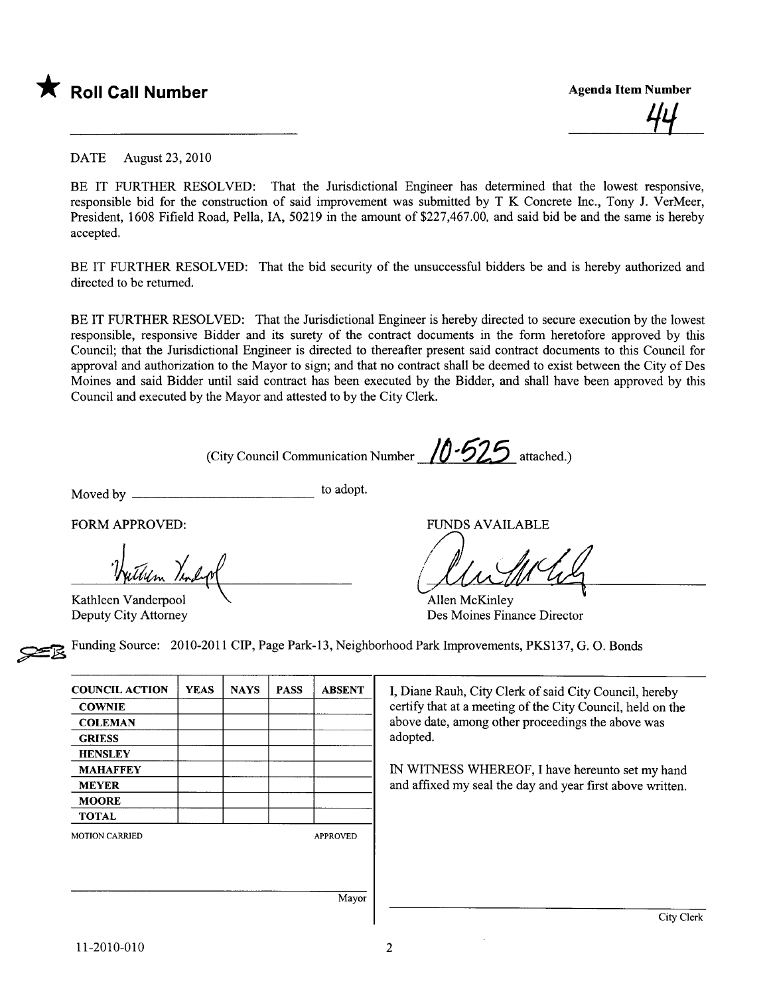

44<br>—

DATE August 23, 2010

BE IT FURTHER RESOLVED: That the Jurisdictional Engineer has determined that the lowest responsive, responsible bid for the construction of said improvement was submitted by T K Concrete Inc., Tony J. VerMeer, President, 1608 Fifield Road, Pella, lA, 50219 in the amount of \$227,467.00, and said bid be and the same is hereby accepted.

BE IT FURTHER RESOLVED: That the bid security of the unsuccessful bidders be and is hereby authorized and directed to be returned.

BE IT FURTHER RESOLVED: That the Jurisdictional Engineer is hereby directed to secure execution by the lowest responsible, responsive Bidder and its surety of the contract documents in the form heretofore approved by this Council; that the Jurisdictional Engineer is directed to thereafter present said contract documents to this Council for approval and authorization to the Mayor to sign; and that no contract shall be deemed to exist between the City of Des Moines and said Bidder until said contract has been executed by the Bidder, and shall have been approved by this Council and executed by the Mayor and attested to by the City Clerk.

(City Council Communication Number  $/0.525$  attached.)

Moved by to adopt.

FORM APPROVED:<br>Thuther Templan

Kathleen Vanderpool Deputy City Attorney

FUNDS AVAILABLE

Aument 4

Allen McKinley Des Moines Finance Director

~ Funding Source: 2010-2011 CIP, Page Park-13, Neighborhood Park Improvements, PKS137, G. O. Bonds

| <b>COUNCIL ACTION</b> | <b>YEAS</b> | <b>NAYS</b> | <b>PASS</b> | <b>ABSENT</b>   |
|-----------------------|-------------|-------------|-------------|-----------------|
| <b>COWNIE</b>         |             |             |             |                 |
| <b>COLEMAN</b>        |             |             |             |                 |
| <b>GRIESS</b>         |             |             |             |                 |
| <b>HENSLEY</b>        |             |             |             |                 |
| <b>MAHAFFEY</b>       |             |             |             |                 |
| <b>MEYER</b>          |             |             |             |                 |
| <b>MOORE</b>          |             |             |             |                 |
| <b>TOTAL</b>          |             |             |             |                 |
| <b>MOTION CARRIED</b> |             |             |             | <b>APPROVED</b> |
|                       |             |             |             |                 |
|                       |             |             |             |                 |
|                       |             |             |             |                 |
|                       |             |             |             | Mayor           |

I, Diane Rauh, City Clerk of said City Council, hereby certify that at a meeting of the City Council, held on the above date, among other proceedings the above was adopted.

IN WITNESS WHEREOF, I have hereunto set my hand and affixed my seal the day and year first above written.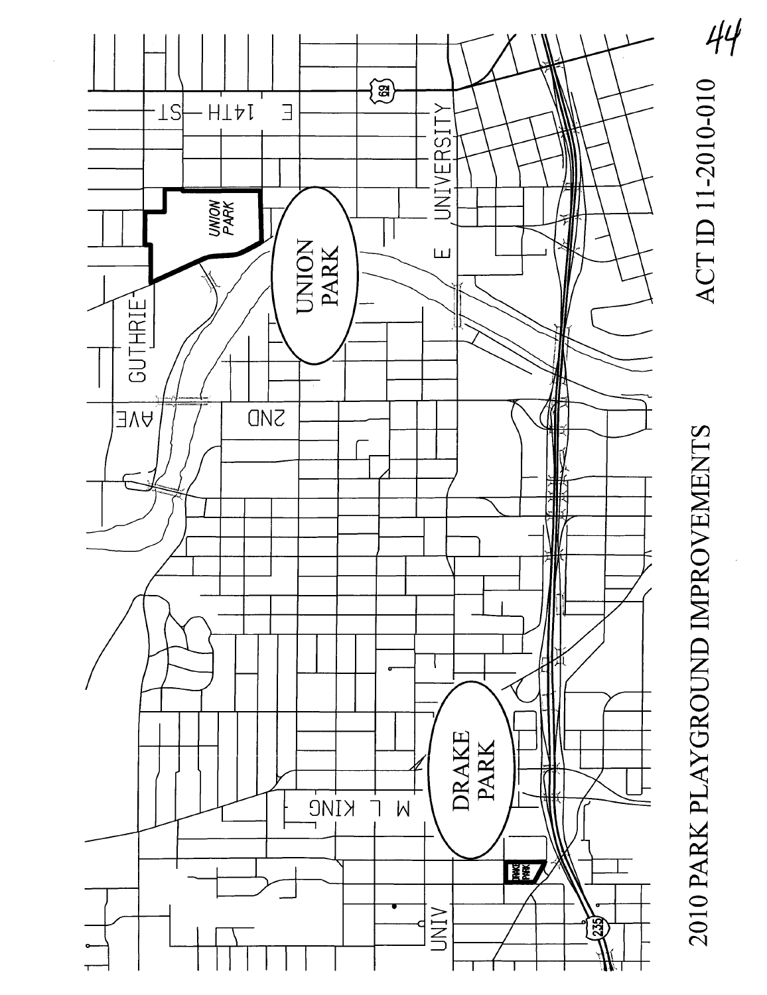

ACTID 11-2010-010

2010 PARK PLAYGROUND IMPROVEMENTS